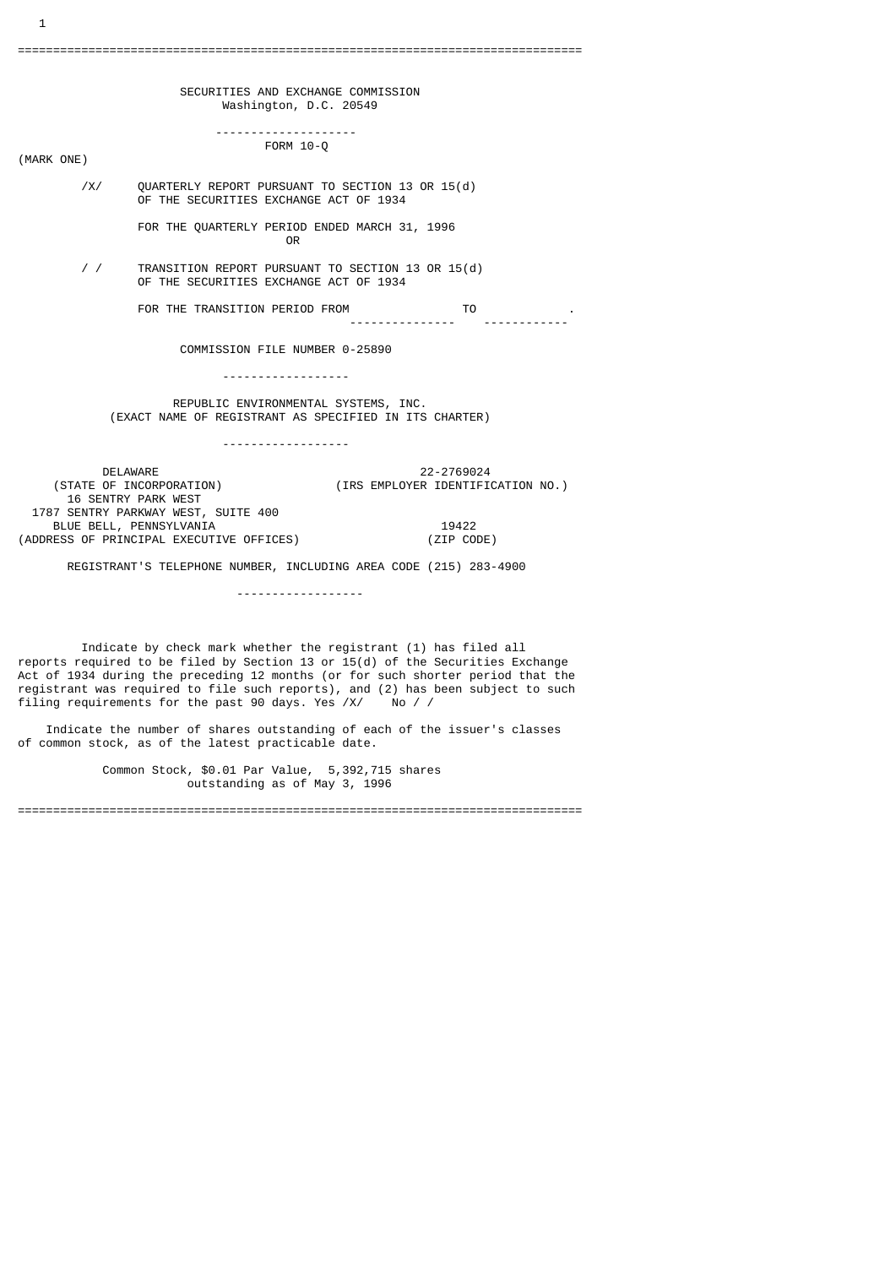SECURITIES AND EXCHANGE COMMISSION Washington, D.C. 20549 -------------------- FORM 10-Q (MARK ONE) /X/ QUARTERLY REPORT PURSUANT TO SECTION 13 OR 15(d) OF THE SECURITIES EXCHANGE ACT OF 1934 FOR THE QUARTERLY PERIOD ENDED MARCH 31, 1996 **OR** Service of the state of the state of the state of the state of the state of the state of the state of the state of the state of the state of the state of the state of the state of the state of the state of the state o / / TRANSITION REPORT PURSUANT TO SECTION 13 OR 15(d) OF THE SECURITIES EXCHANGE ACT OF 1934 FOR THE TRANSITION PERIOD FROM TO . .<br>'----------------- COMMISSION FILE NUMBER 0-25890 ------------------ REPUBLIC ENVIRONMENTAL SYSTEMS, INC. (EXACT NAME OF REGISTRANT AS SPECIFIED IN ITS CHARTER) ------------------ DELAWARE 22-2769024<br>STATE OF INCORPORATION) (IRS EMPLOYER IDENTIFIC) (IRS EMPLOYER IDENTIFICATION NO.) 16 SENTRY PARK WEST 1787 SENTRY PARKWAY WEST, SUITE 400 BLUE BELL, PENNSYLVANIA<br>RESS OF PRINCIPAL EXECUTIVE OFFICES) (ZIP CODE) (ADDRESS OF PRINCIPAL EXECUTIVE OFFICES) REGISTRANT'S TELEPHONE NUMBER, INCLUDING AREA CODE (215) 283-4900 ------------------

===================================

1

 Indicate by check mark whether the registrant (1) has filed all reports required to be filed by Section 13 or  $15(d)$  of the Securities Exchange Act of 1934 during the preceding 12 months (or for such shorter period that the registrant was required to file such reports), and (2) has been subject to such filing requirements for the past 90 days. Yes /X/ No / /

 Indicate the number of shares outstanding of each of the issuer's classes of common stock, as of the latest practicable date.

 Common Stock, \$0.01 Par Value, 5,392,715 shares outstanding as of May 3, 1996

================================================================================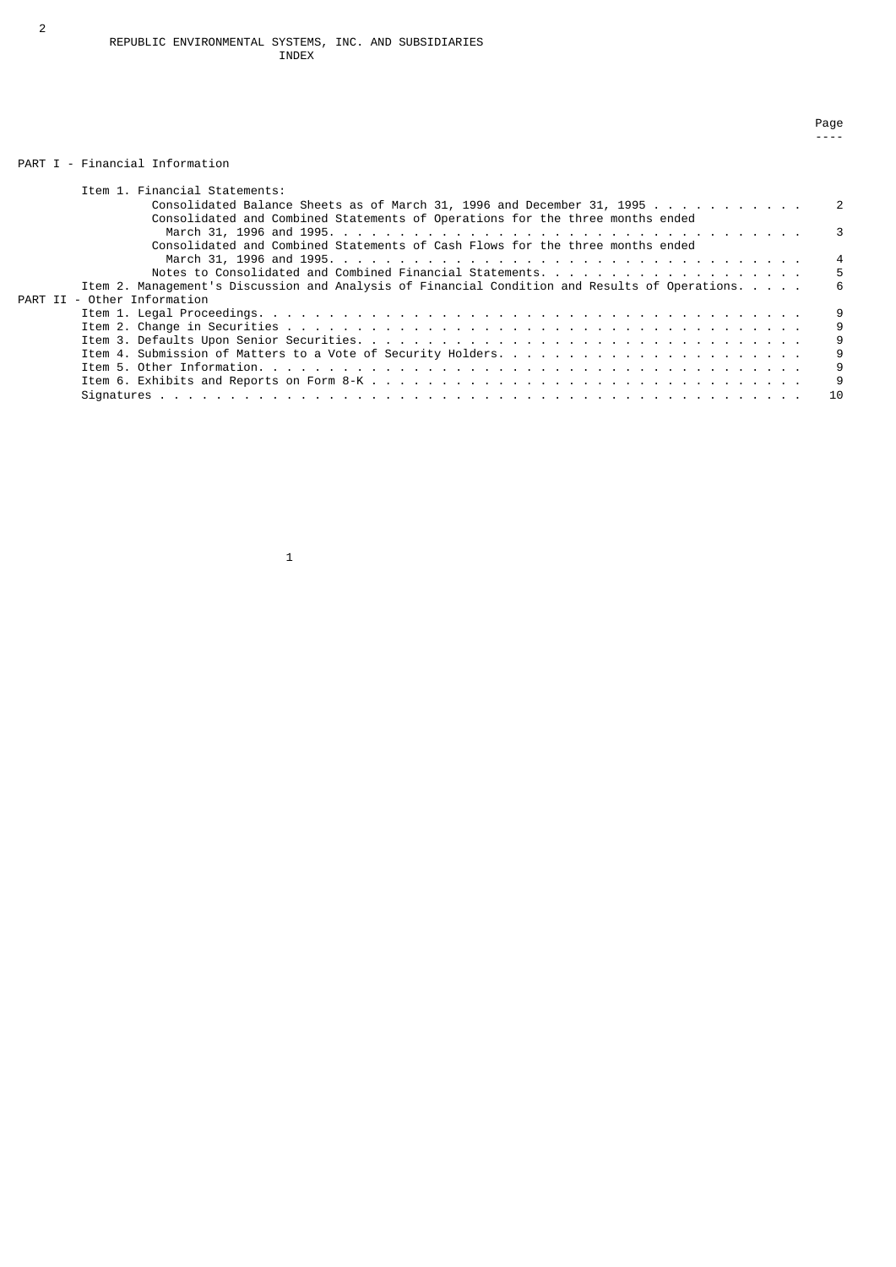## PART I - Financial Information

| Item 1. Financial Statements:                                                                  |     |
|------------------------------------------------------------------------------------------------|-----|
| Consolidated Balance Sheets as of March 31, 1996 and December 31, 1995 2                       |     |
| Consolidated and Combined Statements of Operations for the three months ended                  |     |
|                                                                                                |     |
| Consolidated and Combined Statements of Cash Flows for the three months ended                  |     |
|                                                                                                |     |
| Notes to Consolidated and Combined Financial Statements                                        | -5  |
| Item 2. Management's Discussion and Analysis of Financial Condition and Results of Operations. | -6  |
| PART II - Other Information                                                                    |     |
|                                                                                                | - 9 |
|                                                                                                | -9  |
|                                                                                                | 9   |
|                                                                                                | 9   |
|                                                                                                | 9   |
|                                                                                                | 9   |
|                                                                                                | 10  |

na di sebagai penunjukan pagendaran pagendaran pagendaran pagendaran pagendaran pagendaran pagendaran pagendar ----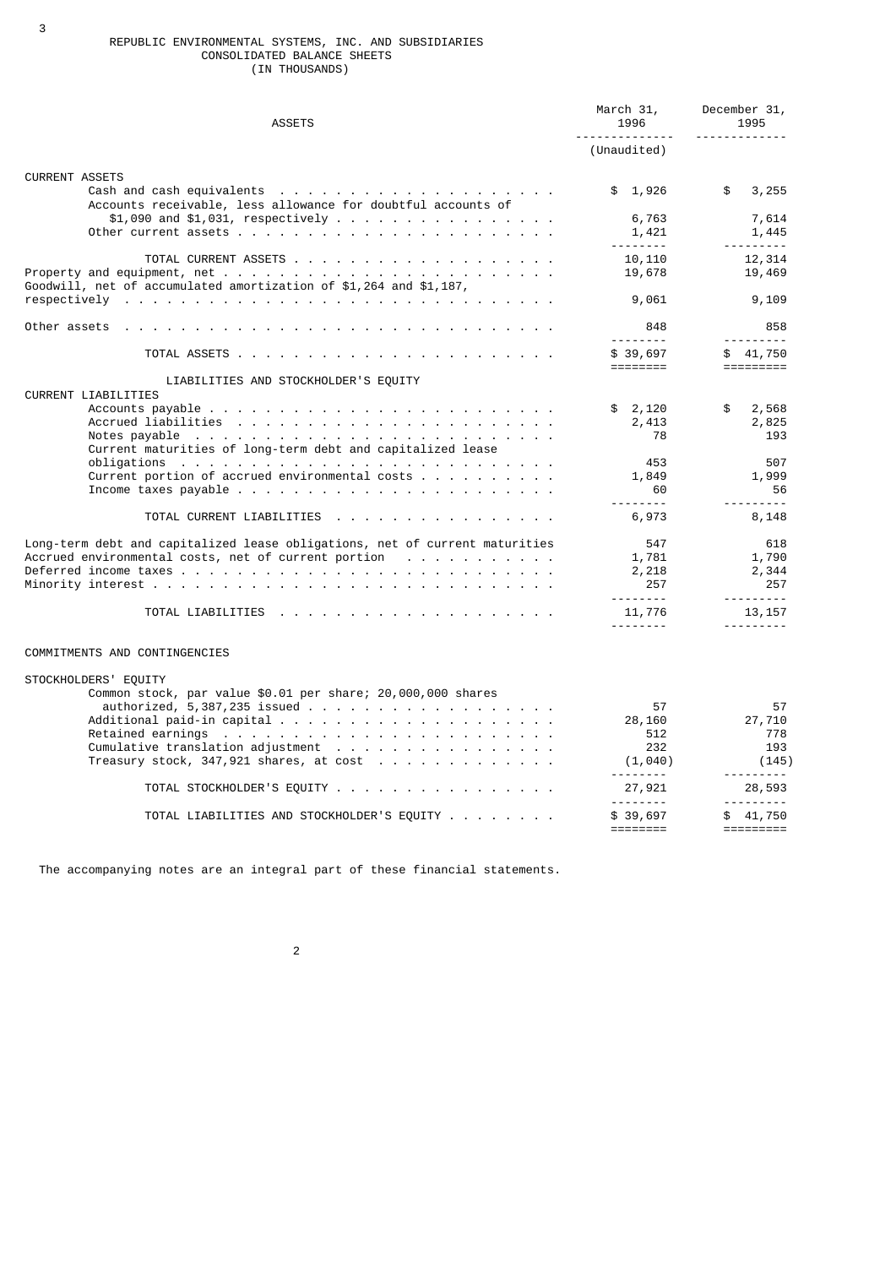### REPUBLIC ENVIRONMENTAL SYSTEMS, INC. AND SUBSIDIARIES CONSOLIDATED BALANCE SHEETS (IN THOUSANDS)

| <b>ASSETS</b>                                                                                                                                                                                                                  | March 31,<br>1996<br><u> - - - - - - - - - - -</u> | December 31,<br>1995<br><u>.</u>         |
|--------------------------------------------------------------------------------------------------------------------------------------------------------------------------------------------------------------------------------|----------------------------------------------------|------------------------------------------|
|                                                                                                                                                                                                                                | (Unaudited)                                        |                                          |
| <b>CURRENT ASSETS</b>                                                                                                                                                                                                          | \$1,926                                            | \$<br>3,255                              |
| Accounts receivable, less allowance for doubtful accounts of<br>$$1,090$ and $$1,031$ , respectively                                                                                                                           | 6,763                                              | 7,614                                    |
|                                                                                                                                                                                                                                | 1,421<br><u>.</u>                                  | 1,445<br><u> - - - - - - - -</u>         |
| Goodwill, net of accumulated amortization of $$1,264$ and $$1,187$ ,                                                                                                                                                           | 10,110<br>19,678                                   | 12,314<br>19,469                         |
|                                                                                                                                                                                                                                | 9,061                                              | 9,109                                    |
| Other assets representative and interview and interventional contract the contract of the orientation of the contract of the contract of the contract of the contract of the contract of the contract of the contract of the c | 848<br><u>.</u>                                    | 858                                      |
|                                                                                                                                                                                                                                | \$39,697<br>$=$ $=$ $=$ $=$ $=$ $=$ $=$ $=$        | \$41,750                                 |
| LIABILITIES AND STOCKHOLDER'S EQUITY<br>CURRENT LIABILITIES                                                                                                                                                                    |                                                    |                                          |
| Current maturities of long-term debt and capitalized lease                                                                                                                                                                     | \$2,120<br>2,413<br>78                             | \$<br>2,568<br>2,825<br>193              |
| Current portion of accrued environmental costs $\ldots$                                                                                                                                                                        | 453<br>1,849<br>60                                 | 507<br>1,999<br>56                       |
| TOTAL CURRENT LIABILITIES<br>the contract of the contract of the contract of the con-                                                                                                                                          | <u>.</u><br>6,973                                  | 8,148                                    |
| Long-term debt and capitalized lease obligations, net of current maturities<br>Accrued environmental costs, net of current portion                                                                                             | 547<br>1,781<br>2,218<br>257                       | 618<br>1,790<br>2,344<br>257             |
|                                                                                                                                                                                                                                | <u>.</u><br>11,776<br><u>.</u>                     | 13, 157<br><u>.</u>                      |
| COMMITMENTS AND CONTINGENCIES                                                                                                                                                                                                  |                                                    |                                          |
| STOCKHOLDERS' EQUITY<br>Common stock, par value \$0.01 per share; 20,000,000 shares                                                                                                                                            |                                                    |                                          |
|                                                                                                                                                                                                                                | 57<br>28,160<br>512<br>232<br>(1, 040)             | 57<br>27,710<br>778<br>193<br>(145)<br>. |
| TOTAL STOCKHOLDER'S EQUITY                                                                                                                                                                                                     | 27,921<br><u>.</u>                                 | 28,593<br>.                              |
| TOTAL LIABILITIES AND STOCKHOLDER'S EQUITY                                                                                                                                                                                     | \$39,697<br>========                               | \$41,750<br>=========                    |

The accompanying notes are an integral part of these financial statements.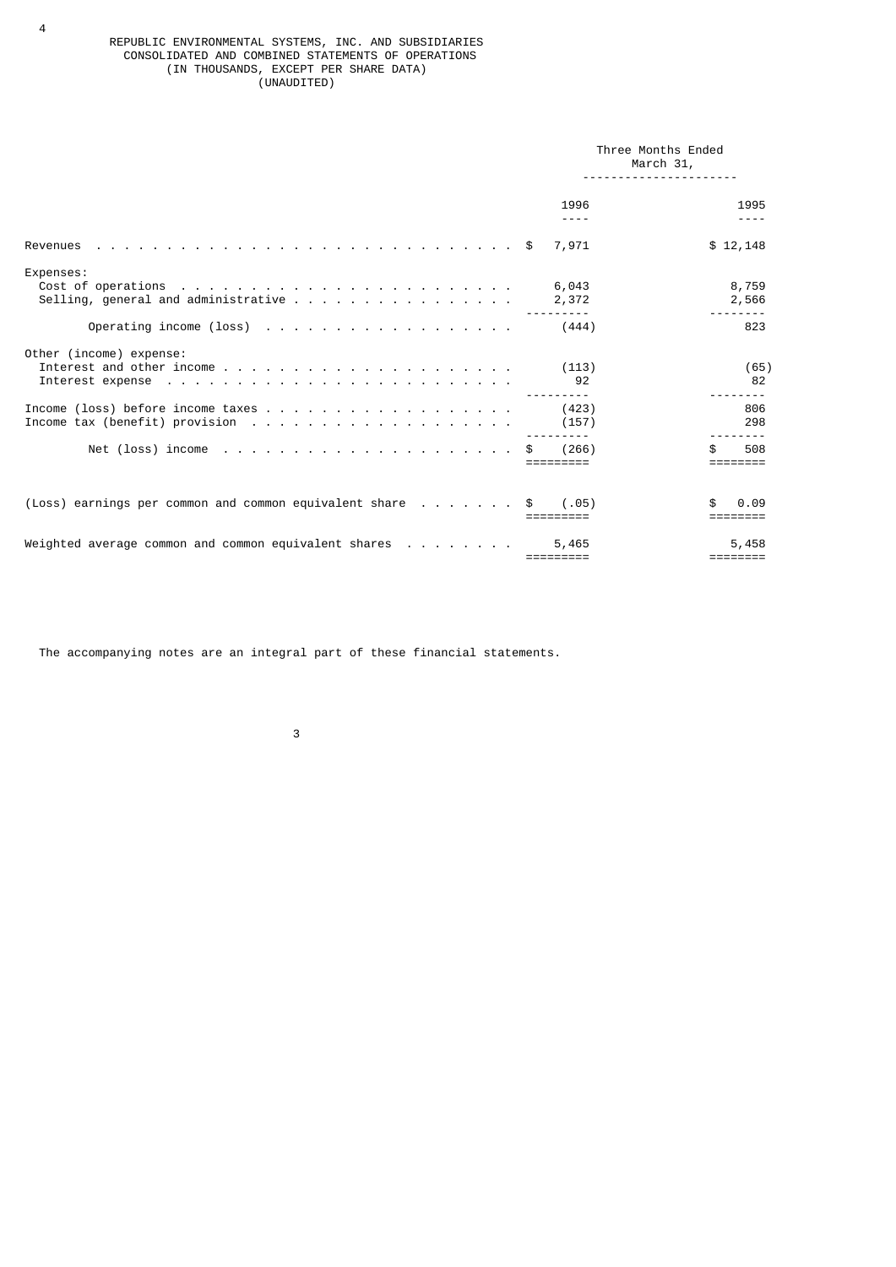### REPUBLIC ENVIRONMENTAL SYSTEMS, INC. AND SUBSIDIARIES CONSOLIDATED AND COMBINED STATEMENTS OF OPERATIONS (IN THOUSANDS, EXCEPT PER SHARE DATA) (UNAUDITED)

|                                                                  | Three Months Ended<br>March 31, |                   |
|------------------------------------------------------------------|---------------------------------|-------------------|
|                                                                  | 1996<br>----                    | 1995              |
|                                                                  | 7,971                           | \$12,148          |
| Expenses:                                                        | 6,043<br>2,372                  | 8,759<br>2,566    |
|                                                                  |                                 | 823               |
| Other (income) expense:                                          | (113)<br>92                     | (65)<br>82        |
|                                                                  | (423)<br>(157)                  | 806<br>298        |
| Net (loss) income $\ldots$ \$                                    | (266)                           | 508               |
| (Loss) earnings per common and common equivalent share  \$ (.05) |                                 | 0.09              |
| Weighted average common and common equivalent shares $\ldots$    | 5,465<br>=========              | 5,458<br>======== |

The accompanying notes are an integral part of these financial statements.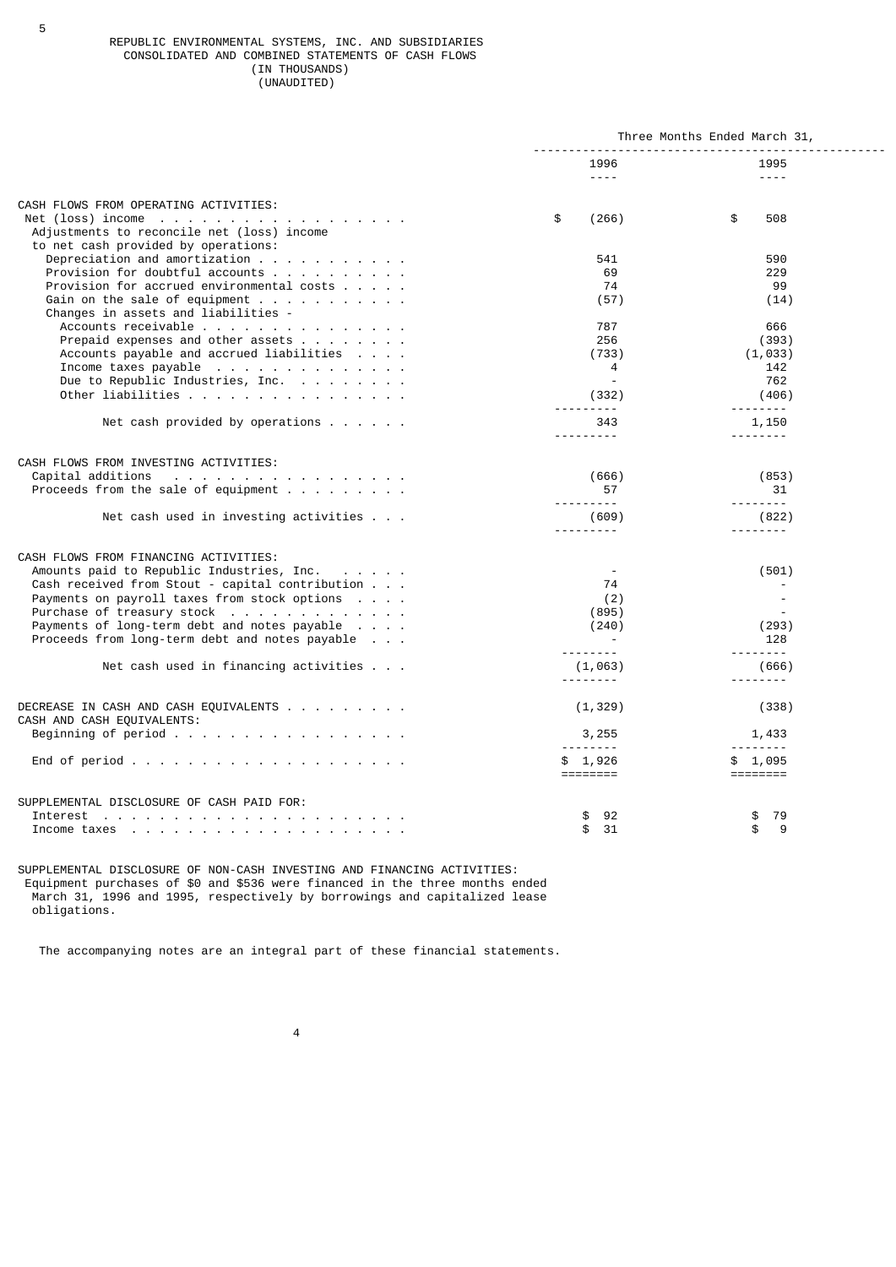### REPUBLIC ENVIRONMENTAL SYSTEMS, INC. AND SUBSIDIARIES CONSOLIDATED AND COMBINED STATEMENTS OF CASH FLOWS (IN THOUSANDS) (UNAUDITED)

|                                                                                                                                                                                                                                                                                                                       | Three Months Ended March 31,                            |                                                             |
|-----------------------------------------------------------------------------------------------------------------------------------------------------------------------------------------------------------------------------------------------------------------------------------------------------------------------|---------------------------------------------------------|-------------------------------------------------------------|
|                                                                                                                                                                                                                                                                                                                       | 1996<br>$- - - -$                                       | 1995<br>$- - - -$                                           |
| CASH FLOWS FROM OPERATING ACTIVITIES:<br>Net (loss) income<br>Adjustments to reconcile net (loss) income                                                                                                                                                                                                              | \$<br>(266)                                             | \$<br>508                                                   |
| to net cash provided by operations:<br>Depreciation and amortization $\cdots$<br>Provision for doubtful accounts<br>Provision for accrued environmental costs $\ldots$ .<br>Gain on the sale of equipment $\ldots$<br>Changes in assets and liabilities -                                                             | 541<br>69<br>74<br>(57)                                 | 590<br>229<br>99<br>(14)                                    |
| Accounts receivable<br>Prepaid expenses and other assets<br>Accounts payable and accrued liabilities<br>Income taxes payable<br>Due to Republic Industries, Inc.<br>Other liabilities                                                                                                                                 | 787<br>256<br>(733)<br>4<br>(332)                       | 666<br>(393)<br>(1, 033)<br>142<br>762<br>(406)<br><u>.</u> |
| Net cash provided by operations $\ldots$                                                                                                                                                                                                                                                                              | 343                                                     | 1,150                                                       |
| CASH FLOWS FROM INVESTING ACTIVITIES:<br>Capital additions<br>Proceeds from the sale of equipment $\cdots$                                                                                                                                                                                                            | (666)<br>57                                             | (853)<br>31                                                 |
| Net cash used in investing activities                                                                                                                                                                                                                                                                                 | .<br>(609)<br>.                                         | .<br>(822)<br>--------                                      |
| CASH FLOWS FROM FINANCING ACTIVITIES:<br>Amounts paid to Republic Industries, Inc.<br>Cash received from Stout - capital contribution<br>Payments on payroll taxes from stock options<br>Purchase of treasury stock<br>Payments of long-term debt and notes payable<br>Proceeds from long-term debt and notes payable | $\overline{\phantom{a}}$<br>74<br>(2)<br>(895)<br>(240) | (501)<br>(293)<br>128                                       |
| Net cash used in financing activities                                                                                                                                                                                                                                                                                 | <u>.</u><br>(1,063)<br><u>.</u>                         | (666)                                                       |
| DECREASE IN CASH AND CASH EQUIVALENTS<br>CASH AND CASH EQUIVALENTS:                                                                                                                                                                                                                                                   | (1, 329)                                                | (338)                                                       |
| Beginning of period                                                                                                                                                                                                                                                                                                   | 3,255<br><u>.</u>                                       | 1,433<br><u>.</u>                                           |
|                                                                                                                                                                                                                                                                                                                       | \$1,926                                                 | \$1,095<br>========                                         |
| SUPPLEMENTAL DISCLOSURE OF CASH PAID FOR:                                                                                                                                                                                                                                                                             | 92<br>\$<br>\$<br>31                                    | \$<br>79<br>\$<br>9                                         |

SUPPLEMENTAL DISCLOSURE OF NON-CASH INVESTING AND FINANCING ACTIVITIES: Equipment purchases of \$0 and \$536 were financed in the three months ended March 31, 1996 and 1995, respectively by borrowings and capitalized lease obligations.

The accompanying notes are an integral part of these financial statements.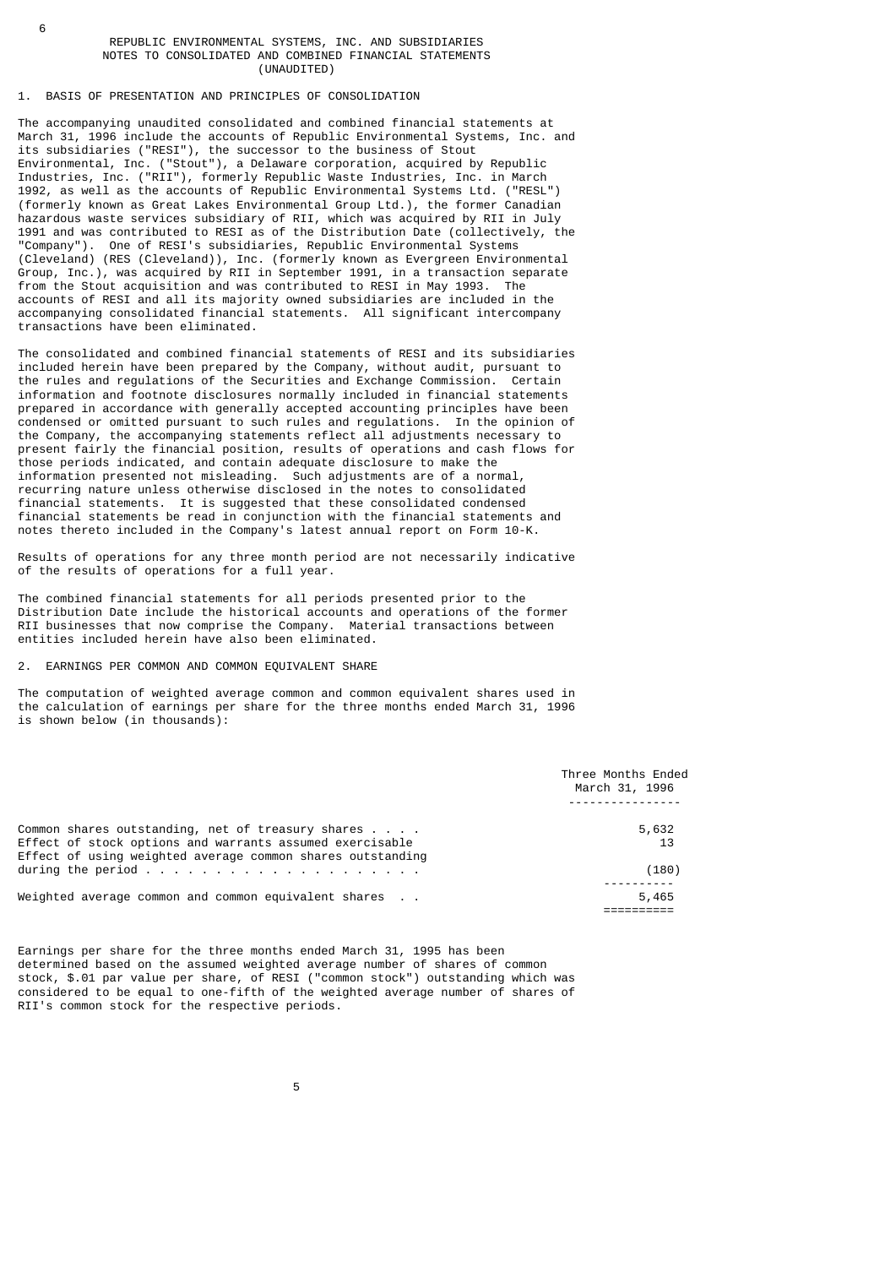#### REPUBLIC ENVIRONMENTAL SYSTEMS, INC. AND SUBSIDIARIES NOTES TO CONSOLIDATED AND COMBINED FINANCIAL STATEMENTS (UNAUDITED)

## 1. BASIS OF PRESENTATION AND PRINCIPLES OF CONSOLIDATION

6

The accompanying unaudited consolidated and combined financial statements at March 31, 1996 include the accounts of Republic Environmental Systems, Inc. and its subsidiaries ("RESI"), the successor to the business of Stout Environmental, Inc. ("Stout"), a Delaware corporation, acquired by Republic Industries, Inc. ("RII"), formerly Republic Waste Industries, Inc. in March 1992, as well as the accounts of Republic Environmental Systems Ltd. ("RESL") (formerly known as Great Lakes Environmental Group Ltd.), the former Canadian hazardous waste services subsidiary of RII, which was acquired by RII in July 1991 and was contributed to RESI as of the Distribution Date (collectively, the "Company"). One of RESI's subsidiaries, Republic Environmental Systems (Cleveland) (RES (Cleveland)), Inc. (formerly known as Evergreen Environmental Group, Inc.), was acquired by RII in September 1991, in a transaction separate from the Stout acquisition and was contributed to RESI in May 1993. The accounts of RESI and all its majority owned subsidiaries are included in the accompanying consolidated financial statements. All significant intercompany transactions have been eliminated.

The consolidated and combined financial statements of RESI and its subsidiaries included herein have been prepared by the Company, without audit, pursuant to the rules and regulations of the Securities and Exchange Commission. Certain information and footnote disclosures normally included in financial statements prepared in accordance with generally accepted accounting principles have been condensed or omitted pursuant to such rules and regulations. In the opinion of the Company, the accompanying statements reflect all adjustments necessary to present fairly the financial position, results of operations and cash flows for those periods indicated, and contain adequate disclosure to make the information presented not misleading. Such adjustments are of a normal, recurring nature unless otherwise disclosed in the notes to consolidated financial statements. It is suggested that these consolidated condensed financial statements be read in conjunction with the financial statements and notes thereto included in the Company's latest annual report on Form 10-K.

Results of operations for any three month period are not necessarily indicative of the results of operations for a full year.

The combined financial statements for all periods presented prior to the Distribution Date include the historical accounts and operations of the former RII businesses that now comprise the Company. Material transactions between entities included herein have also been eliminated.

### 2. EARNINGS PER COMMON AND COMMON EQUIVALENT SHARE

The computation of weighted average common and common equivalent shares used in the calculation of earnings per share for the three months ended March 31, 1996 is shown below (in thousands):

|                                                                                                               | Three Months Ended<br>March 31, 1996 |
|---------------------------------------------------------------------------------------------------------------|--------------------------------------|
| Common shares outstanding, net of treasury shares<br>Effect of stock options and warrants assumed exercisable | 5,632<br>13                          |
| Effect of using weighted average common shares outstanding<br>during the period $\ldots$                      | (180)                                |
| Weighted average common and common equivalent shares                                                          | 5,465                                |

Earnings per share for the three months ended March 31, 1995 has been determined based on the assumed weighted average number of shares of common stock, \$.01 par value per share, of RESI ("common stock") outstanding which was considered to be equal to one-fifth of the weighted average number of shares of RII's common stock for the respective periods.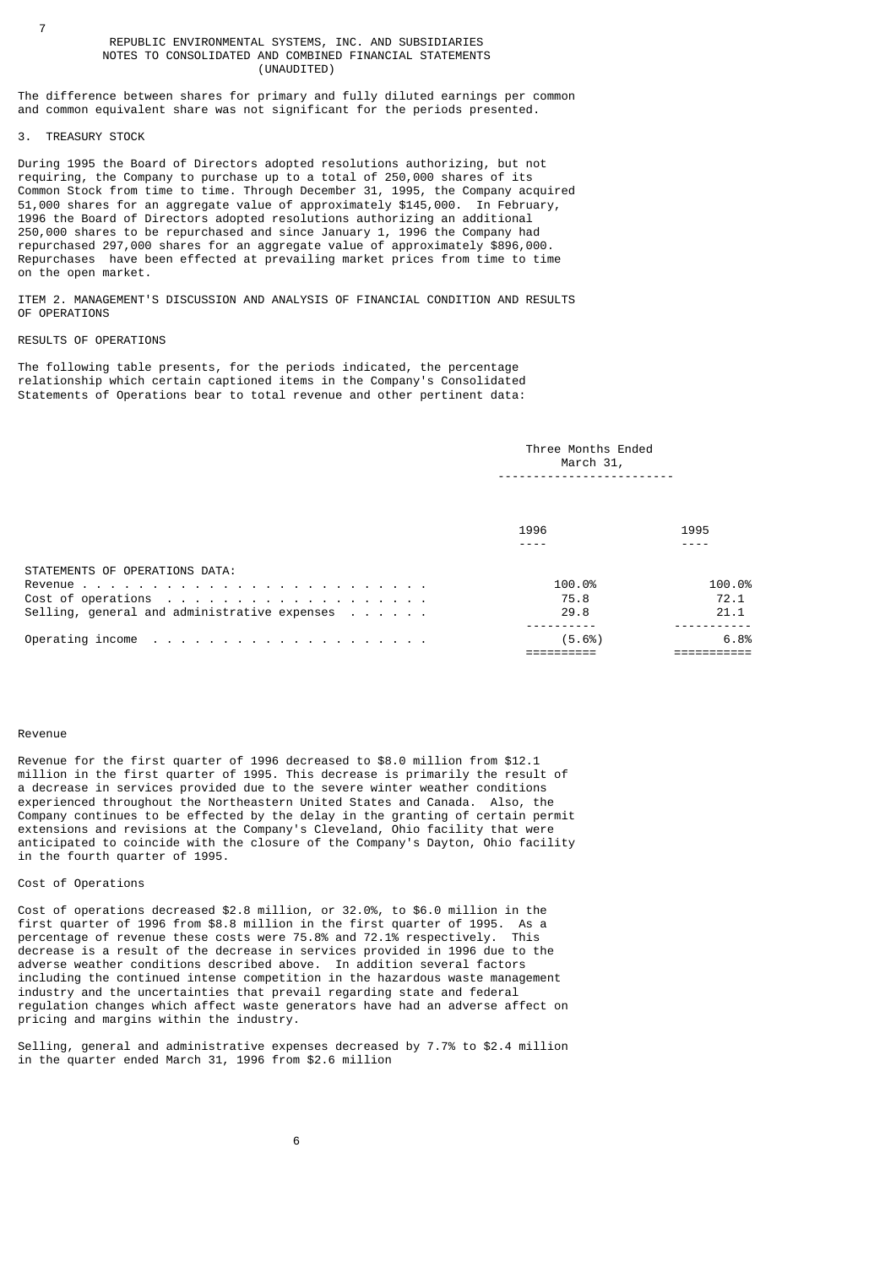### REPUBLIC ENVIRONMENTAL SYSTEMS, INC. AND SUBSIDIARIES NOTES TO CONSOLIDATED AND COMBINED FINANCIAL STATEMENTS (UNAUDITED)

The difference between shares for primary and fully diluted earnings per common and common equivalent share was not significant for the periods presented.

# 3. TREASURY STOCK

During 1995 the Board of Directors adopted resolutions authorizing, but not requiring, the Company to purchase up to a total of 250,000 shares of its Common Stock from time to time. Through December 31, 1995, the Company acquired 51,000 shares for an aggregate value of approximately \$145,000. In February, 1996 the Board of Directors adopted resolutions authorizing an additional 250,000 shares to be repurchased and since January 1, 1996 the Company had repurchased 297,000 shares for an aggregate value of approximately \$896,000. Repurchases have been effected at prevailing market prices from time to time on the open market.

ITEM 2. MANAGEMENT'S DISCUSSION AND ANALYSIS OF FINANCIAL CONDITION AND RESULTS OF OPERATIONS

## RESULTS OF OPERATIONS

The following table presents, for the periods indicated, the percentage relationship which certain captioned items in the Company's Consolidated Statements of Operations bear to total revenue and other pertinent data:

|                                                                                        | Three Months Ended<br>March 31, |                        |
|----------------------------------------------------------------------------------------|---------------------------------|------------------------|
|                                                                                        | 1996                            | 1995                   |
| STATEMENTS OF OPERATIONS DATA:<br>Selling, general and administrative expenses $\dots$ | 100.0%<br>75.8<br>29.8          | 100.0%<br>72.1<br>21.1 |
|                                                                                        | (5.6%)                          | 6.8%                   |

#### Revenue

Revenue for the first quarter of 1996 decreased to \$8.0 million from \$12.1 million in the first quarter of 1995. This decrease is primarily the result of a decrease in services provided due to the severe winter weather conditions experienced throughout the Northeastern United States and Canada. Also, the Company continues to be effected by the delay in the granting of certain permit extensions and revisions at the Company's Cleveland, Ohio facility that were anticipated to coincide with the closure of the Company's Dayton, Ohio facility in the fourth quarter of 1995.

## Cost of Operations

Cost of operations decreased \$2.8 million, or 32.0%, to \$6.0 million in the first quarter of 1996 from \$8.8 million in the first quarter of 1995. As a first quarter of 1995. As a first portion in the section of the procentively. This percentage of revenue these costs were 75.8% and 72.1% respectively. decrease is a result of the decrease in services provided in 1996 due to the adverse weather conditions described above. In addition several factors including the continued intense competition in the hazardous waste management industry and the uncertainties that prevail regarding state and federal regulation changes which affect waste generators have had an adverse affect on pricing and margins within the industry.

Selling, general and administrative expenses decreased by 7.7% to \$2.4 million in the quarter ended March 31, 1996 from \$2.6 million

7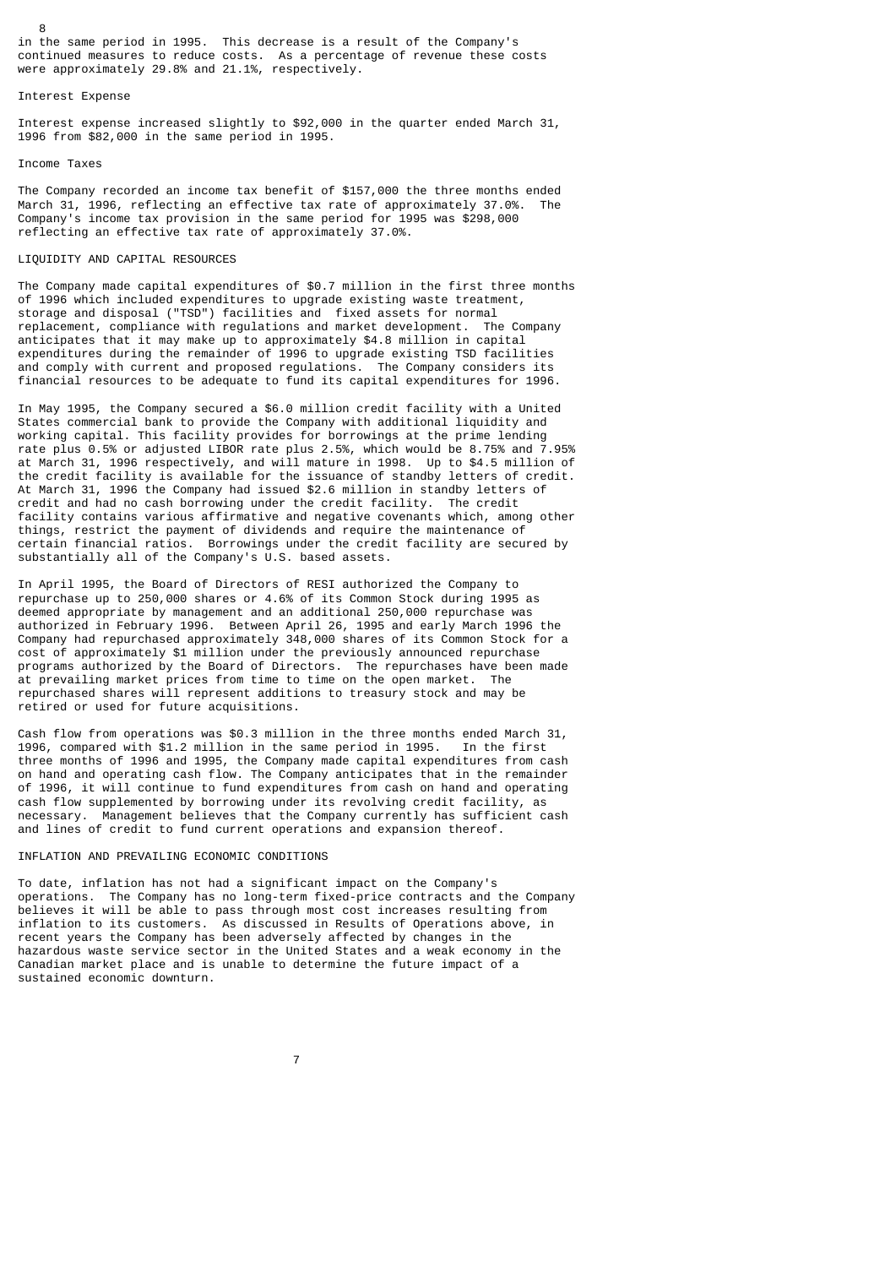in the same period in 1995. This decrease is a result of the Company's continued measures to reduce costs. As a percentage of revenue these costs were approximately 29.8% and 21.1%, respectively.

### Interest Expense

8

Interest expense increased slightly to \$92,000 in the quarter ended March 31, 1996 from \$82,000 in the same period in 1995.

#### Income Taxes

The Company recorded an income tax benefit of \$157,000 the three months ended March 31, 1996, reflecting an effective tax rate of approximately 37.0%. The Company's income tax provision in the same period for 1995 was \$298,000 reflecting an effective tax rate of approximately 37.0%.

## LIQUIDITY AND CAPITAL RESOURCES

The Company made capital expenditures of \$0.7 million in the first three months of 1996 which included expenditures to upgrade existing waste treatment, storage and disposal ("TSD") facilities and fixed assets for normal replacement, compliance with regulations and market development. The Company anticipates that it may make up to approximately \$4.8 million in capital expenditures during the remainder of 1996 to upgrade existing TSD facilities and comply with current and proposed regulations. The Company considers its financial resources to be adequate to fund its capital expenditures for 1996.

In May 1995, the Company secured a \$6.0 million credit facility with a United States commercial bank to provide the Company with additional liquidity and working capital. This facility provides for borrowings at the prime lending rate plus 0.5% or adjusted LIBOR rate plus 2.5%, which would be 8.75% and 7.95% at March 31, 1996 respectively, and will mature in 1998. Up to \$4.5 million of the credit facility is available for the issuance of standby letters of credit. At March 31, 1996 the Company had issued \$2.6 million in standby letters of credit and had no cash borrowing under the credit facility. The credit facility contains various affirmative and negative covenants which, among other things, restrict the payment of dividends and require the maintenance of certain financial ratios. Borrowings under the credit facility are secured by substantially all of the Company's U.S. based assets.

In April 1995, the Board of Directors of RESI authorized the Company to repurchase up to 250,000 shares or 4.6% of its Common Stock during 1995 as deemed appropriate by management and an additional 250,000 repurchase was authorized in February 1996. Between April 26, 1995 and early March 1996 the Company had repurchased approximately 348,000 shares of its Common Stock for a cost of approximately \$1 million under the previously announced repurchase programs authorized by the Board of Directors. The repurchases have been made at prevailing market prices from time to time on the open market. The repurchased shares will represent additions to treasury stock and may be retired or used for future acquisitions.

Cash flow from operations was \$0.3 million in the three months ended March 31, 1996, compared with \$1.2 million in the same period in 1995. In the first three months of 1996 and 1995, the Company made capital expenditures from cash on hand and operating cash flow. The Company anticipates that in the remainder of 1996, it will continue to fund expenditures from cash on hand and operating cash flow supplemented by borrowing under its revolving credit facility, as necessary. Management believes that the Company currently has sufficient cash and lines of credit to fund current operations and expansion thereof.

### INFLATION AND PREVAILING ECONOMIC CONDITIONS

To date, inflation has not had a significant impact on the Company's operations. The Company has no long-term fixed-price contracts and the Company believes it will be able to pass through most cost increases resulting from inflation to its customers. As discussed in Results of Operations above, in recent years the Company has been adversely affected by changes in the hazardous waste service sector in the United States and a weak economy in the Canadian market place and is unable to determine the future impact of a sustained economic downturn.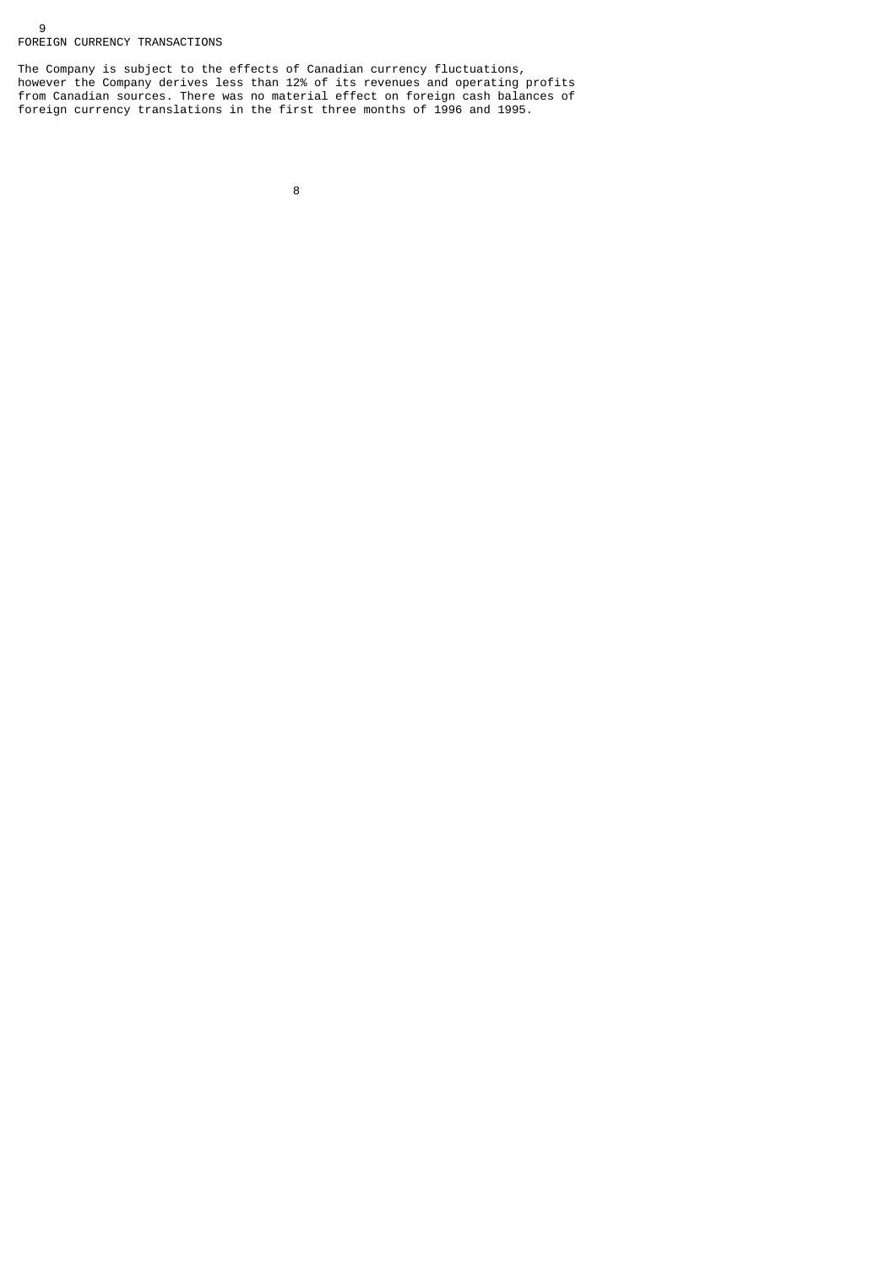## 9 FOREIGN CURRENCY TRANSACTIONS

The Company is subject to the effects of Canadian currency fluctuations, however the Company derives less than 12% of its revenues and operating profits from Canadian sources. There was no material effect on foreign cash balances of foreign currency translations in the first three months of 1996 and 1995.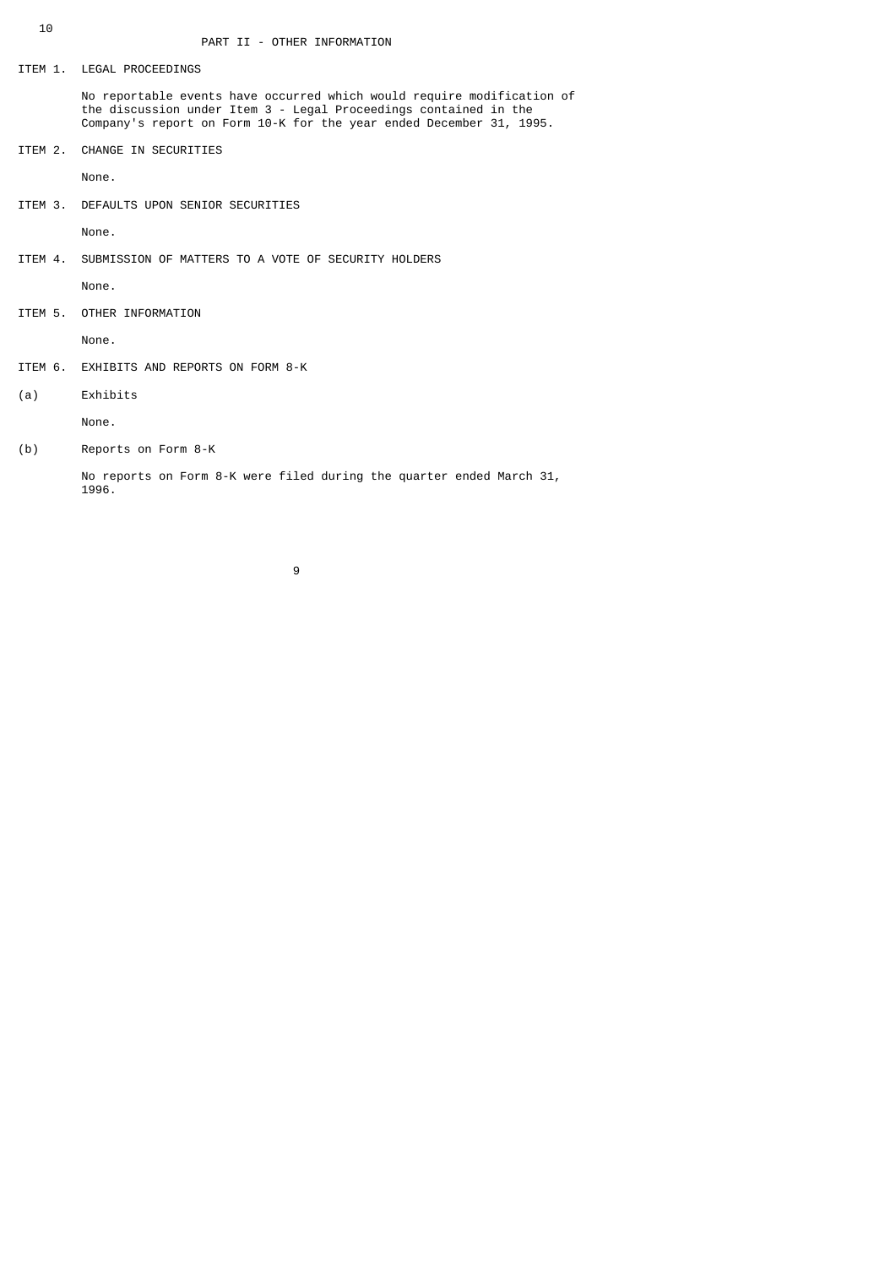ITEM 1. LEGAL PROCEEDINGS

 No reportable events have occurred which would require modification of the discussion under Item 3 - Legal Proceedings contained in the Company's report on Form 10-K for the year ended December 31, 1995.

ITEM 2. CHANGE IN SECURITIES

None.

ITEM 3. DEFAULTS UPON SENIOR SECURITIES

None.

ITEM 4. SUBMISSION OF MATTERS TO A VOTE OF SECURITY HOLDERS

None.

ITEM 5. OTHER INFORMATION

None.

- ITEM 6. EXHIBITS AND REPORTS ON FORM 8-K
- (a) Exhibits

None.

(b) Reports on Form 8-K

 No reports on Form 8-K were filed during the quarter ended March 31, 1996.

9 and 20 and 20 and 20 and 20 and 20 and 20 and 20 and 20 and 20 and 20 and 20 and 20 and 20 and 20 and 20 and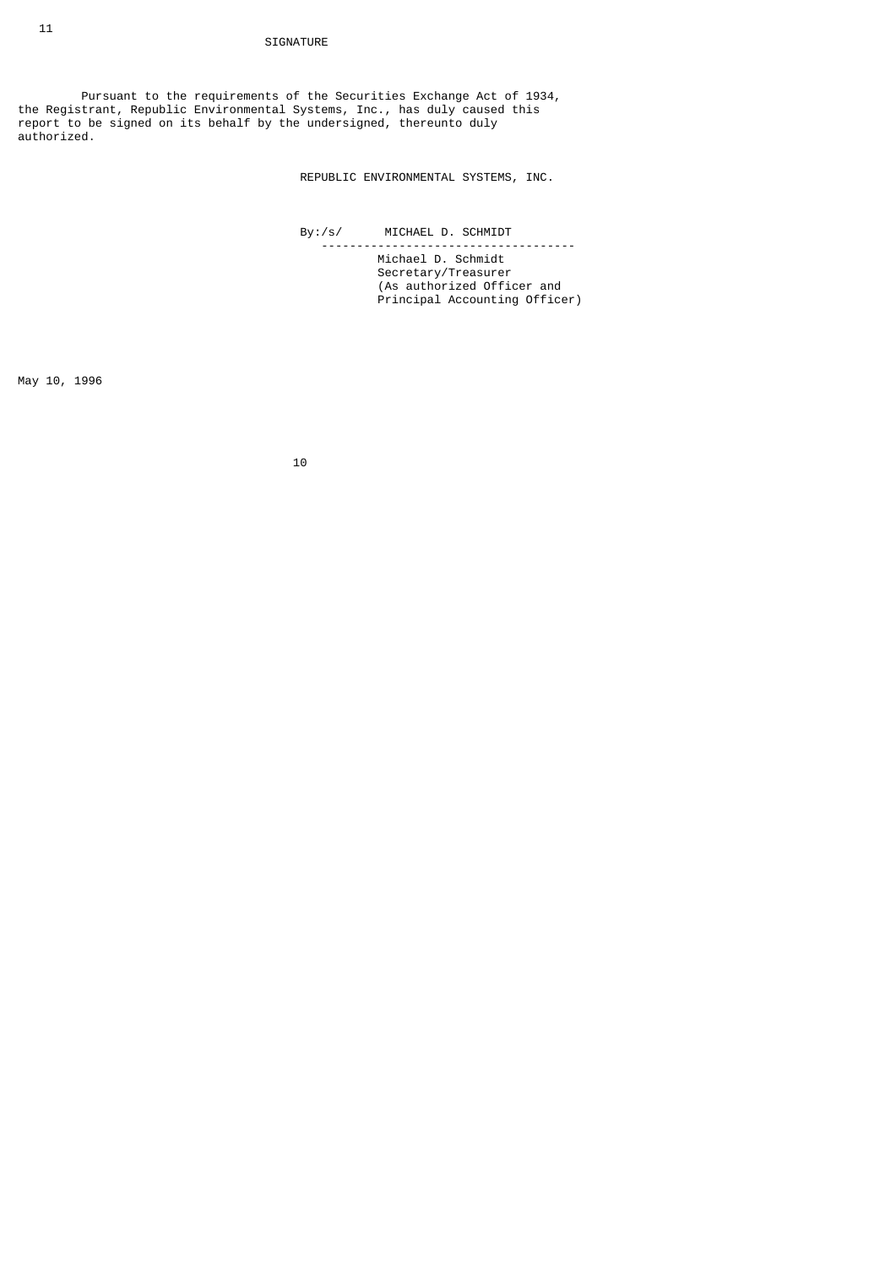Pursuant to the requirements of the Securities Exchange Act of 1934, the Registrant, Republic Environmental Systems, Inc., has duly caused this report to be signed on its behalf by the undersigned, thereunto duly authorized.

REPUBLIC ENVIRONMENTAL SYSTEMS, INC.

By:/s/ MICHAEL D. SCHMIDT

 ------------------------------------ Michael D. Schmidt Secretary/Treasurer (As authorized Officer and Principal Accounting Officer)

May 10, 1996

10